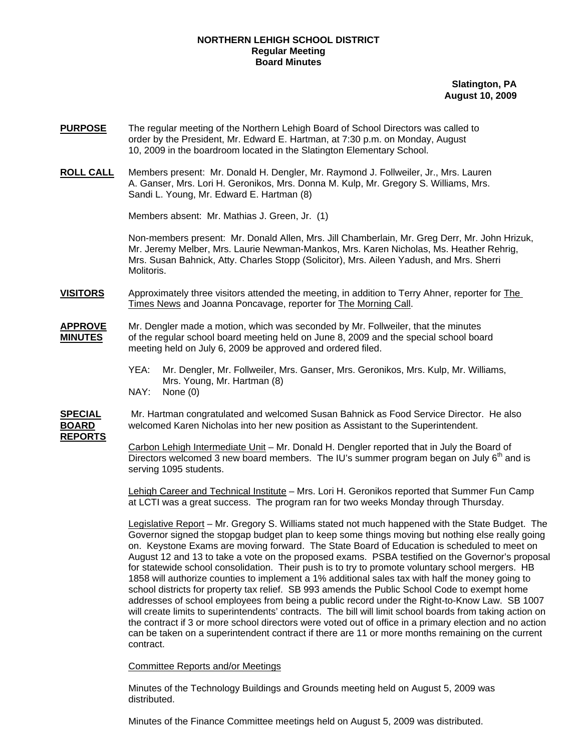## **NORTHERN LEHIGH SCHOOL DISTRICT Regular Meeting Board Minutes**

**Slatington, PA August 10, 2009**

- **PURPOSE** The regular meeting of the Northern Lehigh Board of School Directors was called to order by the President, Mr. Edward E. Hartman, at 7:30 p.m. on Monday, August 10, 2009 in the boardroom located in the Slatington Elementary School.
- **ROLL CALL** Members present: Mr. Donald H. Dengler, Mr. Raymond J. Follweiler, Jr., Mrs. Lauren A. Ganser, Mrs. Lori H. Geronikos, Mrs. Donna M. Kulp, Mr. Gregory S. Williams, Mrs. Sandi L. Young, Mr. Edward E. Hartman (8)

Members absent: Mr. Mathias J. Green, Jr. (1)

Non-members present: Mr. Donald Allen, Mrs. Jill Chamberlain, Mr. Greg Derr, Mr. John Hrizuk, Mr. Jeremy Melber, Mrs. Laurie Newman-Mankos, Mrs. Karen Nicholas, Ms. Heather Rehrig, Mrs. Susan Bahnick, Atty. Charles Stopp (Solicitor), Mrs. Aileen Yadush, and Mrs. Sherri Molitoris.

- **VISITORS** Approximately three visitors attended the meeting, in addition to Terry Ahner, reporter for The Times News and Joanna Poncavage, reporter for The Morning Call.
- **APPROVE** Mr. Dengler made a motion, which was seconded by Mr. Follweiler, that the minutes **MINUTES** of the regular school board meeting held on June 8, 2009 and the special school board meeting held on July 6, 2009 be approved and ordered filed.
	- YEA: Mr. Dengler, Mr. Follweiler, Mrs. Ganser, Mrs. Geronikos, Mrs. Kulp, Mr. Williams, Mrs. Young, Mr. Hartman (8)
	- NAY: None (0)

**SPECIAL** Mr. Hartman congratulated and welcomed Susan Bahnick as Food Service Director. He also **BOARD** welcomed Karen Nicholas into her new position as Assistant to the Superintendent.

**REPORTS**

Carbon Lehigh Intermediate Unit – Mr. Donald H. Dengler reported that in July the Board of Directors welcomed 3 new board members. The IU's summer program began on July  $6<sup>m</sup>$  and is serving 1095 students.

Lehigh Career and Technical Institute – Mrs. Lori H. Geronikos reported that Summer Fun Camp at LCTI was a great success. The program ran for two weeks Monday through Thursday.

Legislative Report – Mr. Gregory S. Williams stated not much happened with the State Budget. The Governor signed the stopgap budget plan to keep some things moving but nothing else really going on. Keystone Exams are moving forward. The State Board of Education is scheduled to meet on August 12 and 13 to take a vote on the proposed exams. PSBA testified on the Governor's proposal for statewide school consolidation. Their push is to try to promote voluntary school mergers. HB 1858 will authorize counties to implement a 1% additional sales tax with half the money going to school districts for property tax relief. SB 993 amends the Public School Code to exempt home addresses of school employees from being a public record under the Right-to-Know Law. SB 1007 will create limits to superintendents' contracts. The bill will limit school boards from taking action on the contract if 3 or more school directors were voted out of office in a primary election and no action can be taken on a superintendent contract if there are 11 or more months remaining on the current contract.

Committee Reports and/or Meetings

Minutes of the Technology Buildings and Grounds meeting held on August 5, 2009 was distributed.

Minutes of the Finance Committee meetings held on August 5, 2009 was distributed.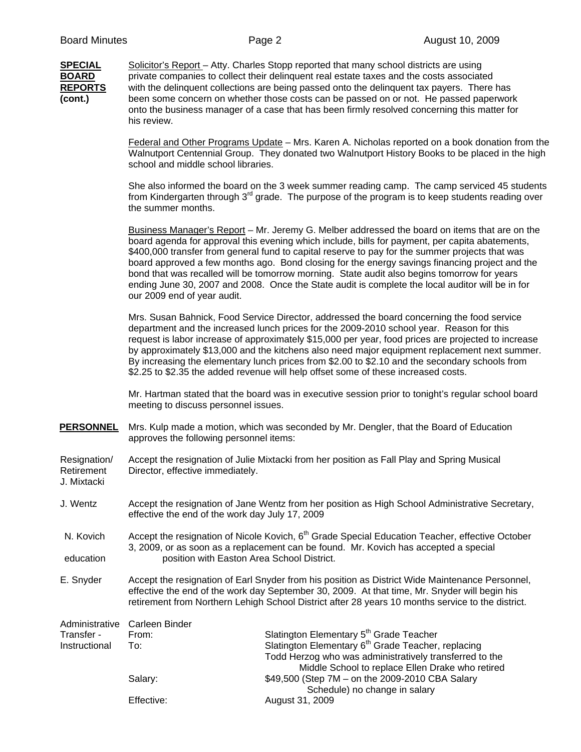**SPECIAL** Solicitor's Report – Atty. Charles Stopp reported that many school districts are using **BOARD** private companies to collect their delinquent real estate taxes and the costs associated **REPORTS** with the delinquent collections are being passed onto the delinquent tax payers. There has **(cont.)** been some concern on whether those costs can be passed on or not. He passed paperwork onto the business manager of a case that has been firmly resolved concerning this matter for his review.

> Federal and Other Programs Update – Mrs. Karen A. Nicholas reported on a book donation from the Walnutport Centennial Group. They donated two Walnutport History Books to be placed in the high school and middle school libraries.

> She also informed the board on the 3 week summer reading camp. The camp serviced 45 students from Kindergarten through  $3<sup>rd</sup>$  grade. The purpose of the program is to keep students reading over the summer months.

Business Manager's Report – Mr. Jeremy G. Melber addressed the board on items that are on the board agenda for approval this evening which include, bills for payment, per capita abatements, \$400,000 transfer from general fund to capital reserve to pay for the summer projects that was board approved a few months ago. Bond closing for the energy savings financing project and the bond that was recalled will be tomorrow morning. State audit also begins tomorrow for years ending June 30, 2007 and 2008. Once the State audit is complete the local auditor will be in for our 2009 end of year audit.

Mrs. Susan Bahnick, Food Service Director, addressed the board concerning the food service department and the increased lunch prices for the 2009-2010 school year. Reason for this request is labor increase of approximately \$15,000 per year, food prices are projected to increase by approximately \$13,000 and the kitchens also need major equipment replacement next summer. By increasing the elementary lunch prices from \$2.00 to \$2.10 and the secondary schools from \$2.25 to \$2.35 the added revenue will help offset some of these increased costs.

Mr. Hartman stated that the board was in executive session prior to tonight's regular school board meeting to discuss personnel issues.

**PERSONNEL** Mrs. Kulp made a motion, which was seconded by Mr. Dengler, that the Board of Education approves the following personnel items:

Resignation/ Accept the resignation of Julie Mixtacki from her position as Fall Play and Spring Musical Retirement Director, effective immediately. J. Mixtacki

J. Wentz Accept the resignation of Jane Wentz from her position as High School Administrative Secretary, effective the end of the work day July 17, 2009

N. Kovich Accept the resignation of Nicole Kovich, 6<sup>th</sup> Grade Special Education Teacher, effective October 3, 2009, or as soon as a replacement can be found. Mr. Kovich has accepted a special education position with Easton Area School District.

E. Snyder Accept the resignation of Earl Snyder from his position as District Wide Maintenance Personnel, effective the end of the work day September 30, 2009. At that time, Mr. Snyder will begin his retirement from Northern Lehigh School District after 28 years 10 months service to the district.

|               | Administrative Carleen Binder |                                                                |
|---------------|-------------------------------|----------------------------------------------------------------|
| Transfer -    | From:                         | Slatington Elementary 5 <sup>th</sup> Grade Teacher            |
| Instructional | To:                           | Slatington Elementary 6 <sup>th</sup> Grade Teacher, replacing |
|               |                               | Todd Herzog who was administratively transferred to the        |
|               |                               | Middle School to replace Ellen Drake who retired               |
|               | Salarv:                       | \$49,500 (Step 7M – on the 2009-2010 CBA Salary                |
|               |                               | Schedule) no change in salary                                  |
|               | Effective:                    | August 31, 2009                                                |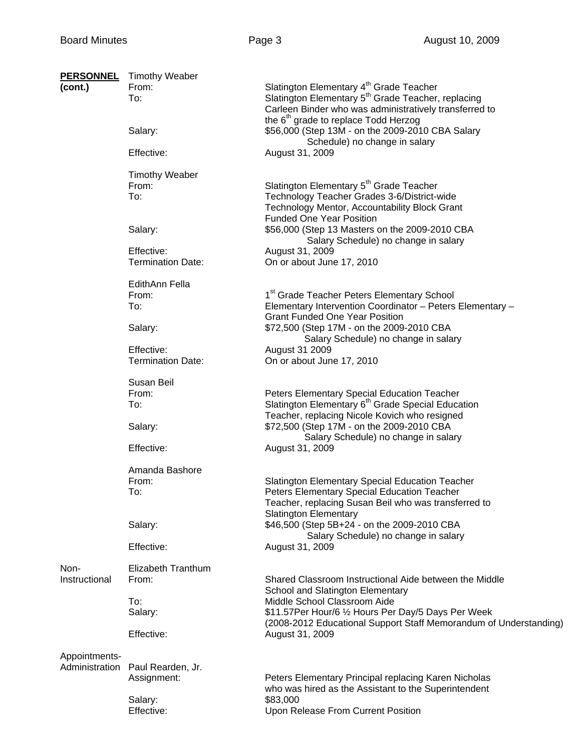| <b>PERSONNEL</b> | <b>Timothy Weaber</b>    |                                                                   |
|------------------|--------------------------|-------------------------------------------------------------------|
| (cont.)          | From:                    | Slatington Elementary 4 <sup>th</sup> Grade Teacher               |
|                  | To:                      | Slatington Elementary 5 <sup>th</sup> Grade Teacher, replacing    |
|                  |                          | Carleen Binder who was administratively transferred to            |
|                  |                          | the 6 <sup>th</sup> grade to replace Todd Herzog                  |
|                  | Salary:                  | \$56,000 (Step 13M - on the 2009-2010 CBA Salary                  |
|                  |                          | Schedule) no change in salary                                     |
|                  | Effective:               | August 31, 2009                                                   |
|                  |                          |                                                                   |
|                  | <b>Timothy Weaber</b>    |                                                                   |
|                  | From:                    | Slatington Elementary 5 <sup>th</sup> Grade Teacher               |
|                  | To:                      | Technology Teacher Grades 3-6/District-wide                       |
|                  |                          |                                                                   |
|                  |                          | Technology Mentor, Accountability Block Grant                     |
|                  |                          | <b>Funded One Year Position</b>                                   |
|                  | Salary:                  | \$56,000 (Step 13 Masters on the 2009-2010 CBA                    |
|                  |                          | Salary Schedule) no change in salary                              |
|                  | Effective:               | August 31, 2009                                                   |
|                  | <b>Termination Date:</b> | On or about June 17, 2010                                         |
|                  |                          |                                                                   |
|                  | EdithAnn Fella           |                                                                   |
|                  | From:                    | 1 <sup>st</sup> Grade Teacher Peters Elementary School            |
|                  | To:                      | Elementary Intervention Coordinator - Peters Elementary -         |
|                  |                          | <b>Grant Funded One Year Position</b>                             |
|                  | Salary:                  | \$72,500 (Step 17M - on the 2009-2010 CBA                         |
|                  |                          | Salary Schedule) no change in salary                              |
|                  | Effective:               | August 31 2009                                                    |
|                  | <b>Termination Date:</b> | On or about June 17, 2010                                         |
|                  |                          |                                                                   |
|                  | Susan Beil               |                                                                   |
|                  | From:                    | Peters Elementary Special Education Teacher                       |
|                  | To:                      | Slatington Elementary 6 <sup>th</sup> Grade Special Education     |
|                  |                          | Teacher, replacing Nicole Kovich who resigned                     |
|                  | Salary:                  | \$72,500 (Step 17M - on the 2009-2010 CBA                         |
|                  |                          | Salary Schedule) no change in salary                              |
|                  | Effective:               | August 31, 2009                                                   |
|                  |                          |                                                                   |
|                  | Amanda Bashore           |                                                                   |
|                  | From:                    | <b>Slatington Elementary Special Education Teacher</b>            |
|                  | To:                      | Peters Elementary Special Education Teacher                       |
|                  |                          | Teacher, replacing Susan Beil who was transferred to              |
|                  |                          |                                                                   |
|                  |                          | <b>Slatington Elementary</b>                                      |
|                  | Salary:                  | \$46,500 (Step 5B+24 - on the 2009-2010 CBA                       |
|                  |                          | Salary Schedule) no change in salary                              |
|                  | Effective:               | August 31, 2009                                                   |
|                  |                          |                                                                   |
| Non-             | Elizabeth Tranthum       |                                                                   |
| Instructional    | From:                    | Shared Classroom Instructional Aide between the Middle            |
|                  |                          | School and Slatington Elementary                                  |
|                  | To:                      | Middle School Classroom Aide                                      |
|                  | Salary:                  | \$11.57Per Hour/6 1/2 Hours Per Day/5 Days Per Week               |
|                  |                          | (2008-2012 Educational Support Staff Memorandum of Understanding) |
|                  | Effective:               | August 31, 2009                                                   |
|                  |                          |                                                                   |
| Appointments-    |                          |                                                                   |
| Administration   | Paul Rearden, Jr.        |                                                                   |
|                  | Assignment:              | Peters Elementary Principal replacing Karen Nicholas              |
|                  |                          | who was hired as the Assistant to the Superintendent              |
|                  | Salary:                  | \$83,000                                                          |
|                  | Effective:               | Upon Release From Current Position                                |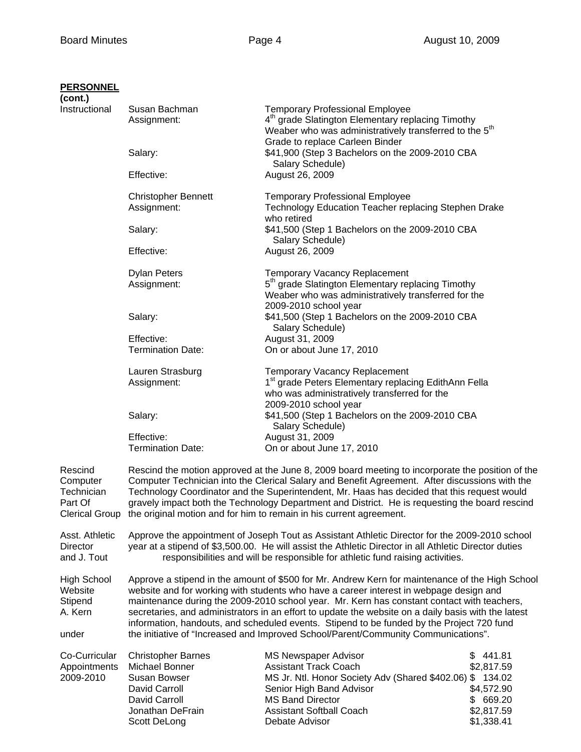## **PERSONNEL**

| (cont.)                                                        |                                                                                                                                                                                                                                                                                                                                                                                                                                                                                             |                                                                                                                                                                                                                                      |                                                                               |
|----------------------------------------------------------------|---------------------------------------------------------------------------------------------------------------------------------------------------------------------------------------------------------------------------------------------------------------------------------------------------------------------------------------------------------------------------------------------------------------------------------------------------------------------------------------------|--------------------------------------------------------------------------------------------------------------------------------------------------------------------------------------------------------------------------------------|-------------------------------------------------------------------------------|
| Instructional                                                  | Susan Bachman<br>Assignment:                                                                                                                                                                                                                                                                                                                                                                                                                                                                | <b>Temporary Professional Employee</b><br>4 <sup>th</sup> grade Slatington Elementary replacing Timothy<br>Weaber who was administratively transferred to the 5 <sup>th</sup>                                                        |                                                                               |
|                                                                | Salary:                                                                                                                                                                                                                                                                                                                                                                                                                                                                                     | Grade to replace Carleen Binder<br>\$41,900 (Step 3 Bachelors on the 2009-2010 CBA<br>Salary Schedule)                                                                                                                               |                                                                               |
|                                                                | Effective:                                                                                                                                                                                                                                                                                                                                                                                                                                                                                  | August 26, 2009                                                                                                                                                                                                                      |                                                                               |
|                                                                | <b>Christopher Bennett</b><br>Assignment:                                                                                                                                                                                                                                                                                                                                                                                                                                                   | <b>Temporary Professional Employee</b><br>Technology Education Teacher replacing Stephen Drake<br>who retired                                                                                                                        |                                                                               |
|                                                                | Salary:                                                                                                                                                                                                                                                                                                                                                                                                                                                                                     | \$41,500 (Step 1 Bachelors on the 2009-2010 CBA<br>Salary Schedule)<br>August 26, 2009                                                                                                                                               |                                                                               |
|                                                                | Effective:                                                                                                                                                                                                                                                                                                                                                                                                                                                                                  |                                                                                                                                                                                                                                      |                                                                               |
|                                                                | <b>Dylan Peters</b><br>Assignment:                                                                                                                                                                                                                                                                                                                                                                                                                                                          | <b>Temporary Vacancy Replacement</b><br>5 <sup>th</sup> grade Slatington Elementary replacing Timothy<br>Weaber who was administratively transferred for the<br>2009-2010 school year                                                |                                                                               |
|                                                                | Salary:                                                                                                                                                                                                                                                                                                                                                                                                                                                                                     | \$41,500 (Step 1 Bachelors on the 2009-2010 CBA<br>Salary Schedule)                                                                                                                                                                  |                                                                               |
|                                                                | Effective:<br><b>Termination Date:</b>                                                                                                                                                                                                                                                                                                                                                                                                                                                      | August 31, 2009<br>On or about June 17, 2010                                                                                                                                                                                         |                                                                               |
|                                                                | Lauren Strasburg<br>Assignment:                                                                                                                                                                                                                                                                                                                                                                                                                                                             | Temporary Vacancy Replacement<br>1 <sup>st</sup> grade Peters Elementary replacing EdithAnn Fella<br>who was administratively transferred for the<br>2009-2010 school year                                                           |                                                                               |
|                                                                | Salary:                                                                                                                                                                                                                                                                                                                                                                                                                                                                                     | \$41,500 (Step 1 Bachelors on the 2009-2010 CBA<br>Salary Schedule)                                                                                                                                                                  |                                                                               |
|                                                                | Effective:<br><b>Termination Date:</b>                                                                                                                                                                                                                                                                                                                                                                                                                                                      | August 31, 2009<br>On or about June 17, 2010                                                                                                                                                                                         |                                                                               |
| Rescind<br>Computer<br>Technician<br>Part Of<br>Clerical Group | Rescind the motion approved at the June 8, 2009 board meeting to incorporate the position of the<br>Computer Technician into the Clerical Salary and Benefit Agreement. After discussions with the<br>Technology Coordinator and the Superintendent, Mr. Haas has decided that this request would<br>gravely impact both the Technology Department and District. He is requesting the board rescind<br>the original motion and for him to remain in his current agreement.                  |                                                                                                                                                                                                                                      |                                                                               |
| Asst. Athletic<br>Director<br>and J. Tout                      | Approve the appointment of Joseph Tout as Assistant Athletic Director for the 2009-2010 school<br>year at a stipend of \$3,500.00. He will assist the Athletic Director in all Athletic Director duties<br>responsibilities and will be responsible for athletic fund raising activities.                                                                                                                                                                                                   |                                                                                                                                                                                                                                      |                                                                               |
| <b>High School</b><br>Website<br>Stipend<br>A. Kern            | Approve a stipend in the amount of \$500 for Mr. Andrew Kern for maintenance of the High School<br>website and for working with students who have a career interest in webpage design and<br>maintenance during the 2009-2010 school year. Mr. Kern has constant contact with teachers,<br>secretaries, and administrators in an effort to update the website on a daily basis with the latest<br>information, handouts, and scheduled events. Stipend to be funded by the Project 720 fund |                                                                                                                                                                                                                                      |                                                                               |
| under                                                          |                                                                                                                                                                                                                                                                                                                                                                                                                                                                                             | the initiative of "Increased and Improved School/Parent/Community Communications".                                                                                                                                                   |                                                                               |
| Co-Curricular<br>Appointments<br>2009-2010                     | <b>Christopher Barnes</b><br>Michael Bonner<br>Susan Bowser<br>David Carroll<br>David Carroll<br>Jonathan DeFrain<br>Scott DeLong                                                                                                                                                                                                                                                                                                                                                           | <b>MS Newspaper Advisor</b><br><b>Assistant Track Coach</b><br>MS Jr. Ntl. Honor Society Adv (Shared \$402.06) \$ 134.02<br>Senior High Band Advisor<br><b>MS Band Director</b><br><b>Assistant Softball Coach</b><br>Debate Advisor | \$441.81<br>\$2,817.59<br>\$4,572.90<br>\$ 669.20<br>\$2,817.59<br>\$1,338.41 |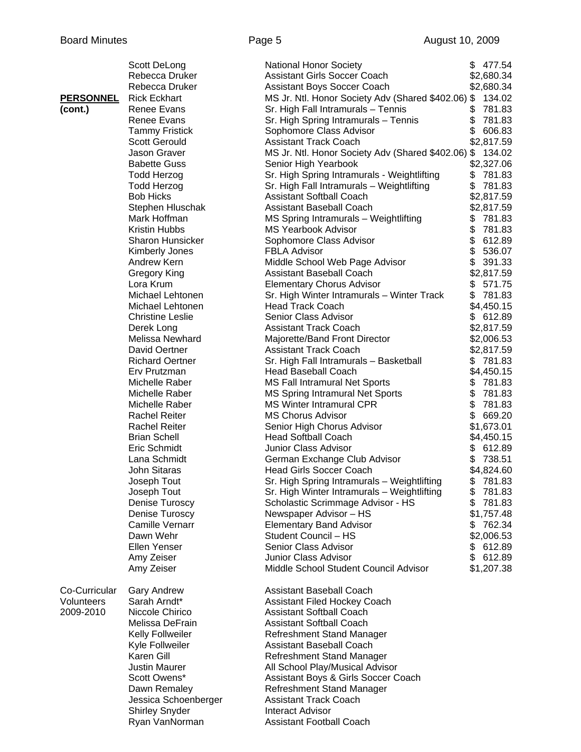|                  | Scott DeLong            | <b>National Honor Society</b>                             | \$477.54     |
|------------------|-------------------------|-----------------------------------------------------------|--------------|
|                  | Rebecca Druker          | <b>Assistant Girls Soccer Coach</b>                       | \$2,680.34   |
|                  | Rebecca Druker          | Assistant Boys Soccer Coach                               | \$2,680.34   |
| <b>PERSONNEL</b> | <b>Rick Eckhart</b>     | MS Jr. Ntl. Honor Society Adv (Shared \$402.06) \$ 134.02 |              |
| (cont.)          | Renee Evans             | Sr. High Fall Intramurals - Tennis                        | \$<br>781.83 |
|                  | Renee Evans             | Sr. High Spring Intramurals - Tennis                      | \$<br>781.83 |
|                  | <b>Tammy Fristick</b>   | Sophomore Class Advisor                                   | \$<br>606.83 |
|                  | <b>Scott Gerould</b>    | <b>Assistant Track Coach</b>                              | \$2,817.59   |
|                  | Jason Graver            | MS Jr. Ntl. Honor Society Adv (Shared \$402.06) \$        | 134.02       |
|                  | <b>Babette Guss</b>     | Senior High Yearbook                                      | \$2,327.06   |
|                  | <b>Todd Herzog</b>      | Sr. High Spring Intramurals - Weightlifting               | \$<br>781.83 |
|                  | <b>Todd Herzog</b>      | Sr. High Fall Intramurals - Weightlifting                 | \$<br>781.83 |
|                  | <b>Bob Hicks</b>        | <b>Assistant Softball Coach</b>                           | \$2,817.59   |
|                  | Stephen Hluschak        | Assistant Baseball Coach                                  | \$2,817.59   |
|                  | Mark Hoffman            | MS Spring Intramurals - Weightlifting                     | \$<br>781.83 |
|                  | Kristin Hubbs           | <b>MS Yearbook Advisor</b>                                | \$<br>781.83 |
|                  | <b>Sharon Hunsicker</b> | Sophomore Class Advisor                                   | \$<br>612.89 |
|                  | Kimberly Jones          | <b>FBLA Advisor</b>                                       | \$<br>536.07 |
|                  | Andrew Kern             | Middle School Web Page Advisor                            | \$<br>391.33 |
|                  | Gregory King            | Assistant Baseball Coach                                  | \$2,817.59   |
|                  | Lora Krum               | <b>Elementary Chorus Advisor</b>                          | \$<br>571.75 |
|                  | Michael Lehtonen        | Sr. High Winter Intramurals - Winter Track                | \$<br>781.83 |
|                  | Michael Lehtonen        | <b>Head Track Coach</b>                                   | \$4,450.15   |
|                  | <b>Christine Leslie</b> | Senior Class Advisor                                      | \$ 612.89    |
|                  | Derek Long              | <b>Assistant Track Coach</b>                              | \$2,817.59   |
|                  | Melissa Newhard         | Majorette/Band Front Director                             | \$2,006.53   |
|                  | David Oertner           | <b>Assistant Track Coach</b>                              | \$2,817.59   |
|                  | <b>Richard Oertner</b>  | Sr. High Fall Intramurals - Basketball                    | \$781.83     |
|                  | Erv Prutzman            | <b>Head Baseball Coach</b>                                | \$4,450.15   |
|                  | Michelle Raber          | <b>MS Fall Intramural Net Sports</b>                      | 781.83<br>\$ |
|                  | Michelle Raber          | <b>MS Spring Intramural Net Sports</b>                    | \$<br>781.83 |
|                  | Michelle Raber          | MS Winter Intramural CPR                                  | \$<br>781.83 |
|                  | <b>Rachel Reiter</b>    | <b>MS Chorus Advisor</b>                                  | \$<br>669.20 |
|                  | <b>Rachel Reiter</b>    | Senior High Chorus Advisor                                | \$1,673.01   |
|                  | <b>Brian Schell</b>     | <b>Head Softball Coach</b>                                | \$4,450.15   |
|                  | Eric Schmidt            | Junior Class Advisor                                      | \$<br>612.89 |
|                  | Lana Schmidt            | German Exchange Club Advisor                              | \$<br>738.51 |
|                  | John Sitaras            | <b>Head Girls Soccer Coach</b>                            | \$4,824.60   |
|                  | Joseph Tout             | Sr. High Spring Intramurals - Weightlifting               | 781.83<br>\$ |
|                  | Joseph Tout             | Sr. High Winter Intramurals - Weightlifting               | \$<br>781.83 |
|                  | Denise Turoscy          | Scholastic Scrimmage Advisor - HS                         | \$<br>781.83 |
|                  | Denise Turoscy          | Newspaper Advisor - HS                                    | \$1,757.48   |
|                  | <b>Camille Vernarr</b>  | <b>Elementary Band Advisor</b>                            | 762.34<br>\$ |
|                  | Dawn Wehr               | Student Council - HS                                      | \$2,006.53   |
|                  | Ellen Yenser            | Senior Class Advisor                                      | \$<br>612.89 |
|                  | Amy Zeiser              | Junior Class Advisor                                      | \$<br>612.89 |
|                  | Amy Zeiser              | Middle School Student Council Advisor                     | \$1,207.38   |
|                  |                         |                                                           |              |
| Co-Curricular    | <b>Gary Andrew</b>      | Assistant Baseball Coach                                  |              |
| Volunteers       | Sarah Arndt*            | Assistant Filed Hockey Coach                              |              |
| 2009-2010        | Niccole Chirico         | <b>Assistant Softball Coach</b>                           |              |
|                  | Melissa DeFrain         | <b>Assistant Softball Coach</b>                           |              |
|                  | Kelly Follweiler        | Refreshment Stand Manager                                 |              |
|                  | Kyle Follweiler         | Assistant Baseball Coach                                  |              |
|                  | Karen Gill              | Refreshment Stand Manager                                 |              |
|                  | <b>Justin Maurer</b>    | All School Play/Musical Advisor                           |              |
|                  | Scott Owens*            | Assistant Boys & Girls Soccer Coach                       |              |
|                  | Dawn Remaley            | Refreshment Stand Manager                                 |              |
|                  | Jessica Schoenberger    | <b>Assistant Track Coach</b>                              |              |
|                  |                         | <b>Interact Advisor</b>                                   |              |
|                  | <b>Shirley Snyder</b>   |                                                           |              |
|                  | Ryan VanNorman          | <b>Assistant Football Coach</b>                           |              |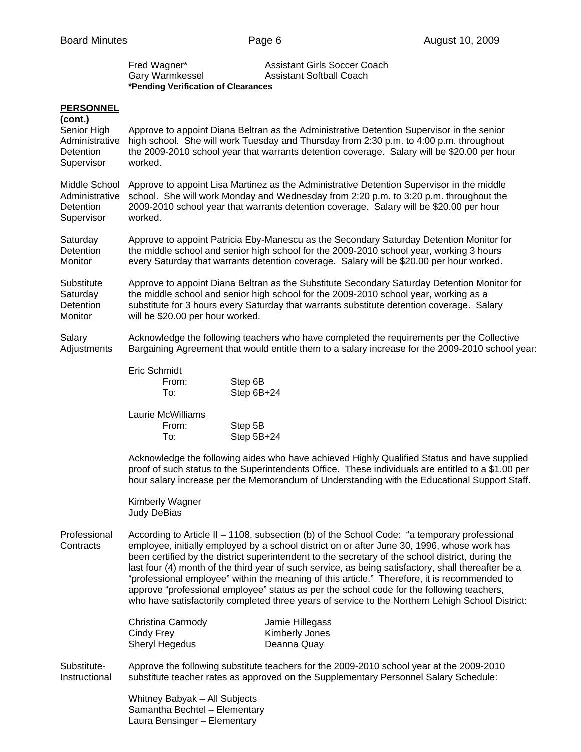| Fred Wagner*                        | Assistant Girls Soccer Coach    |
|-------------------------------------|---------------------------------|
| Gary Warmkessel                     | <b>Assistant Softball Coach</b> |
| *Pending Verification of Clearances |                                 |

## **PERSONNEL**

| <u>. LIVOUTITLE</u><br>(cont.)                             |                                                                                                                                                                                                                                                                                                                                                                                                                                                                                                                                                                                                                                                                                                          |  |  |
|------------------------------------------------------------|----------------------------------------------------------------------------------------------------------------------------------------------------------------------------------------------------------------------------------------------------------------------------------------------------------------------------------------------------------------------------------------------------------------------------------------------------------------------------------------------------------------------------------------------------------------------------------------------------------------------------------------------------------------------------------------------------------|--|--|
| Senior High<br>Administrative<br>Detention<br>Supervisor   | Approve to appoint Diana Beltran as the Administrative Detention Supervisor in the senior<br>high school. She will work Tuesday and Thursday from 2:30 p.m. to 4:00 p.m. throughout<br>the 2009-2010 school year that warrants detention coverage. Salary will be \$20.00 per hour<br>worked.                                                                                                                                                                                                                                                                                                                                                                                                            |  |  |
| Middle School<br>Administrative<br>Detention<br>Supervisor | Approve to appoint Lisa Martinez as the Administrative Detention Supervisor in the middle<br>school. She will work Monday and Wednesday from 2:20 p.m. to 3:20 p.m. throughout the<br>2009-2010 school year that warrants detention coverage. Salary will be \$20.00 per hour<br>worked.                                                                                                                                                                                                                                                                                                                                                                                                                 |  |  |
| Saturday<br>Detention<br>Monitor                           | Approve to appoint Patricia Eby-Manescu as the Secondary Saturday Detention Monitor for<br>the middle school and senior high school for the 2009-2010 school year, working 3 hours<br>every Saturday that warrants detention coverage. Salary will be \$20.00 per hour worked.                                                                                                                                                                                                                                                                                                                                                                                                                           |  |  |
| Substitute<br>Saturday<br>Detention<br>Monitor             | Approve to appoint Diana Beltran as the Substitute Secondary Saturday Detention Monitor for<br>the middle school and senior high school for the 2009-2010 school year, working as a<br>substitute for 3 hours every Saturday that warrants substitute detention coverage. Salary<br>will be \$20.00 per hour worked.                                                                                                                                                                                                                                                                                                                                                                                     |  |  |
| Salary<br>Adjustments                                      | Acknowledge the following teachers who have completed the requirements per the Collective<br>Bargaining Agreement that would entitle them to a salary increase for the 2009-2010 school year:                                                                                                                                                                                                                                                                                                                                                                                                                                                                                                            |  |  |
|                                                            | Eric Schmidt<br>Step 6B<br>From:<br>To:<br>Step 6B+24                                                                                                                                                                                                                                                                                                                                                                                                                                                                                                                                                                                                                                                    |  |  |
|                                                            | Laurie McWilliams<br>From:<br>Step 5B<br>To:<br>Step 5B+24                                                                                                                                                                                                                                                                                                                                                                                                                                                                                                                                                                                                                                               |  |  |
|                                                            | Acknowledge the following aides who have achieved Highly Qualified Status and have supplied<br>proof of such status to the Superintendents Office. These individuals are entitled to a \$1.00 per<br>hour salary increase per the Memorandum of Understanding with the Educational Support Staff.                                                                                                                                                                                                                                                                                                                                                                                                        |  |  |
|                                                            | Kimberly Wagner<br>Judy DeBias                                                                                                                                                                                                                                                                                                                                                                                                                                                                                                                                                                                                                                                                           |  |  |
| Professional<br>Contracts                                  | According to Article II - 1108, subsection (b) of the School Code: "a temporary professional<br>employee, initially employed by a school district on or after June 30, 1996, whose work has<br>been certified by the district superintendent to the secretary of the school district, during the<br>last four (4) month of the third year of such service, as being satisfactory, shall thereafter be a<br>"professional employee" within the meaning of this article." Therefore, it is recommended to<br>approve "professional employee" status as per the school code for the following teachers,<br>who have satisfactorily completed three years of service to the Northern Lehigh School District: |  |  |
|                                                            | Christina Carmody<br>Jamie Hillegass<br>Cindy Frey<br>Kimberly Jones<br><b>Sheryl Hegedus</b><br>Deanna Quay                                                                                                                                                                                                                                                                                                                                                                                                                                                                                                                                                                                             |  |  |
| Substitute-<br>Instructional                               | Approve the following substitute teachers for the 2009-2010 school year at the 2009-2010<br>substitute teacher rates as approved on the Supplementary Personnel Salary Schedule:                                                                                                                                                                                                                                                                                                                                                                                                                                                                                                                         |  |  |
|                                                            |                                                                                                                                                                                                                                                                                                                                                                                                                                                                                                                                                                                                                                                                                                          |  |  |

 Whitney Babyak – All Subjects Samantha Bechtel – Elementary Laura Bensinger – Elementary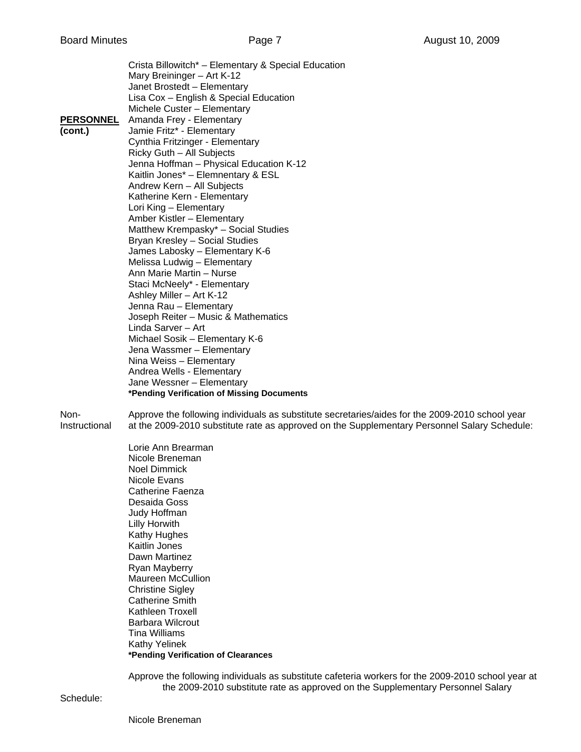Crista Billowitch\* – Elementary & Special Education Mary Breininger – Art K-12 Janet Brostedt – Elementary Lisa Cox – English & Special Education Michele Custer – Elementary **PERSONNEL** Amanda Frey - Elementary **(cont.)** Jamie Fritz\* - Elementary Cynthia Fritzinger - Elementary Ricky Guth – All Subjects Jenna Hoffman – Physical Education K-12 Kaitlin Jones\* – Elemnentary & ESL Andrew Kern – All Subjects Katherine Kern - Elementary Lori King – Elementary Amber Kistler – Elementary Matthew Krempasky\* – Social Studies Bryan Kresley – Social Studies James Labosky – Elementary K-6 Melissa Ludwig – Elementary Ann Marie Martin – Nurse Staci McNeely\* - Elementary Ashley Miller – Art K-12 Jenna Rau – Elementary Joseph Reiter – Music & Mathematics Linda Sarver – Art Michael Sosik – Elementary K-6 Jena Wassmer – Elementary Nina Weiss – Elementary Andrea Wells - Elementary Jane Wessner – Elementary **\*Pending Verification of Missing Documents** 

Non- Approve the following individuals as substitute secretaries/aides for the 2009-2010 school year Instructional at the 2009-2010 substitute rate as approved on the Supplementary Personnel Salary Schedule:

> Lorie Ann Brearman Nicole Breneman Noel Dimmick Nicole Evans Catherine Faenza Desaida Goss Judy Hoffman Lilly Horwith Kathy Hughes Kaitlin Jones Dawn Martinez Ryan Mayberry Maureen McCullion Christine Sigley Catherine Smith Kathleen Troxell Barbara Wilcrout Tina Williams Kathy Yelinek **\*Pending Verification of Clearances**

 Approve the following individuals as substitute cafeteria workers for the 2009-2010 school year at the 2009-2010 substitute rate as approved on the Supplementary Personnel Salary

Schedule: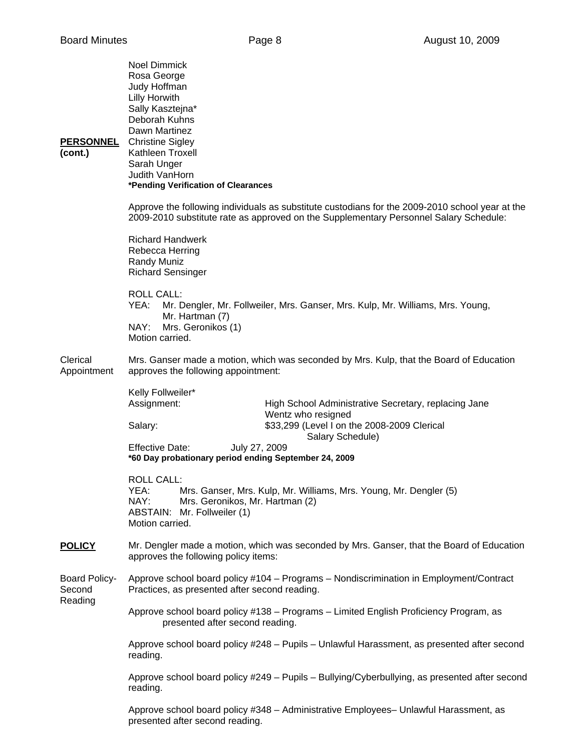| <b>PERSONNEL</b><br>(cont.)               | <b>Noel Dimmick</b><br>Rosa George<br>Judy Hoffman<br>Lilly Horwith<br>Sally Kasztejna*<br>Deborah Kuhns<br>Dawn Martinez<br><b>Christine Sigley</b><br>Kathleen Troxell<br>Sarah Unger<br>Judith VanHorn<br>*Pending Verification of Clearances |                                                                                                                           |  |
|-------------------------------------------|--------------------------------------------------------------------------------------------------------------------------------------------------------------------------------------------------------------------------------------------------|---------------------------------------------------------------------------------------------------------------------------|--|
|                                           | Approve the following individuals as substitute custodians for the 2009-2010 school year at the<br>2009-2010 substitute rate as approved on the Supplementary Personnel Salary Schedule:                                                         |                                                                                                                           |  |
|                                           | <b>Richard Handwerk</b><br>Rebecca Herring<br>Randy Muniz<br><b>Richard Sensinger</b>                                                                                                                                                            |                                                                                                                           |  |
|                                           | <b>ROLL CALL:</b><br>YEA:<br>Mr. Hartman (7)<br>NAY:<br>Mrs. Geronikos (1)<br>Motion carried.                                                                                                                                                    | Mr. Dengler, Mr. Follweiler, Mrs. Ganser, Mrs. Kulp, Mr. Williams, Mrs. Young,                                            |  |
| Clerical<br>Appointment                   | Mrs. Ganser made a motion, which was seconded by Mrs. Kulp, that the Board of Education<br>approves the following appointment:                                                                                                                   |                                                                                                                           |  |
|                                           | Kelly Follweiler*<br>Assignment:<br>Salary:                                                                                                                                                                                                      | High School Administrative Secretary, replacing Jane<br>Wentz who resigned<br>\$33,299 (Level I on the 2008-2009 Clerical |  |
|                                           | <b>Effective Date:</b>                                                                                                                                                                                                                           | Salary Schedule)<br>July 27, 2009<br>*60 Day probationary period ending September 24, 2009                                |  |
|                                           | <b>ROLL CALL:</b><br>YEA:<br>Mrs. Ganser, Mrs. Kulp, Mr. Williams, Mrs. Young, Mr. Dengler (5)<br>NAY:<br>Mrs. Geronikos, Mr. Hartman (2)<br>ABSTAIN: Mr. Follweiler (1)<br>Motion carried.                                                      |                                                                                                                           |  |
| <b>POLICY</b>                             | approves the following policy items:                                                                                                                                                                                                             | Mr. Dengler made a motion, which was seconded by Mrs. Ganser, that the Board of Education                                 |  |
| <b>Board Policy-</b><br>Second<br>Reading | Approve school board policy #104 - Programs - Nondiscrimination in Employment/Contract<br>Practices, as presented after second reading.                                                                                                          |                                                                                                                           |  |
|                                           | Approve school board policy #138 - Programs - Limited English Proficiency Program, as<br>presented after second reading.                                                                                                                         |                                                                                                                           |  |
|                                           | Approve school board policy #248 - Pupils - Unlawful Harassment, as presented after second<br>reading.                                                                                                                                           |                                                                                                                           |  |
|                                           | Approve school board policy #249 - Pupils - Bullying/Cyberbullying, as presented after second<br>reading.                                                                                                                                        |                                                                                                                           |  |
|                                           |                                                                                                                                                                                                                                                  | Approve school board policy #348 - Administrative Employees- Unlawful Harassment, as                                      |  |

presented after second reading.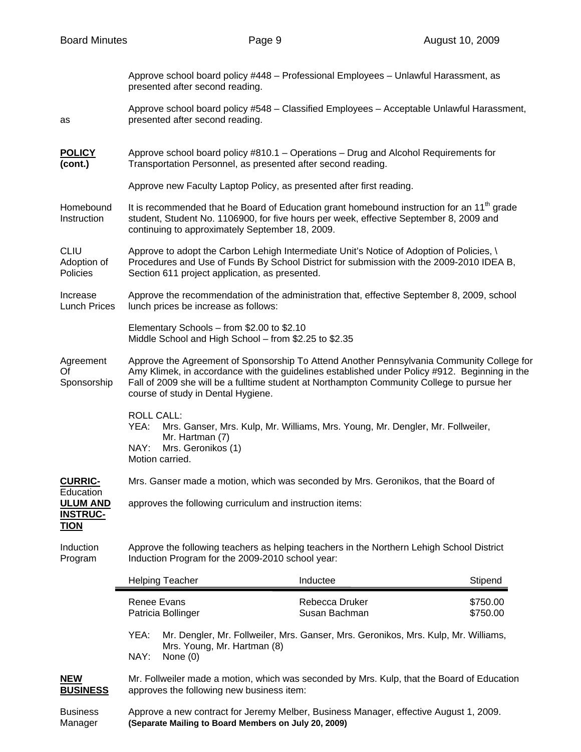|                                                                | presented after second reading.                                                                                                                                                                                                                                                                                                | Approve school board policy #448 - Professional Employees - Unlawful Harassment, as       |                      |  |
|----------------------------------------------------------------|--------------------------------------------------------------------------------------------------------------------------------------------------------------------------------------------------------------------------------------------------------------------------------------------------------------------------------|-------------------------------------------------------------------------------------------|----------------------|--|
| as                                                             | presented after second reading.                                                                                                                                                                                                                                                                                                | Approve school board policy #548 - Classified Employees - Acceptable Unlawful Harassment, |                      |  |
| <b>POLICY</b><br>(cont.)                                       | Approve school board policy #810.1 - Operations - Drug and Alcohol Requirements for<br>Transportation Personnel, as presented after second reading.                                                                                                                                                                            |                                                                                           |                      |  |
|                                                                | Approve new Faculty Laptop Policy, as presented after first reading.                                                                                                                                                                                                                                                           |                                                                                           |                      |  |
| Homebound<br>Instruction                                       | It is recommended that he Board of Education grant homebound instruction for an $11th$ grade<br>student, Student No. 1106900, for five hours per week, effective September 8, 2009 and<br>continuing to approximately September 18, 2009.                                                                                      |                                                                                           |                      |  |
| <b>CLIU</b><br>Adoption of<br>Policies                         | Approve to adopt the Carbon Lehigh Intermediate Unit's Notice of Adoption of Policies, \<br>Procedures and Use of Funds By School District for submission with the 2009-2010 IDEA B,<br>Section 611 project application, as presented.                                                                                         |                                                                                           |                      |  |
| Increase<br><b>Lunch Prices</b>                                | Approve the recommendation of the administration that, effective September 8, 2009, school<br>lunch prices be increase as follows:                                                                                                                                                                                             |                                                                                           |                      |  |
|                                                                | Elementary Schools - from \$2.00 to \$2.10<br>Middle School and High School - from \$2.25 to \$2.35                                                                                                                                                                                                                            |                                                                                           |                      |  |
| Agreement<br>Οf<br>Sponsorship                                 | Approve the Agreement of Sponsorship To Attend Another Pennsylvania Community College for<br>Amy Klimek, in accordance with the guidelines established under Policy #912. Beginning in the<br>Fall of 2009 she will be a fulltime student at Northampton Community College to pursue her<br>course of study in Dental Hygiene. |                                                                                           |                      |  |
|                                                                | <b>ROLL CALL:</b><br>Mrs. Ganser, Mrs. Kulp, Mr. Williams, Mrs. Young, Mr. Dengler, Mr. Follweiler,<br>YEA:<br>Mr. Hartman (7)<br>NAY:<br>Mrs. Geronikos (1)<br>Motion carried.                                                                                                                                                |                                                                                           |                      |  |
| <b>CURRIC-</b>                                                 | Mrs. Ganser made a motion, which was seconded by Mrs. Geronikos, that the Board of                                                                                                                                                                                                                                             |                                                                                           |                      |  |
| Education<br><b>ULUM AND</b><br><b>INSTRUC-</b><br><b>TION</b> | approves the following curriculum and instruction items:                                                                                                                                                                                                                                                                       |                                                                                           |                      |  |
| Induction<br>Program                                           | Approve the following teachers as helping teachers in the Northern Lehigh School District<br>Induction Program for the 2009-2010 school year:                                                                                                                                                                                  |                                                                                           |                      |  |
|                                                                | <b>Helping Teacher</b>                                                                                                                                                                                                                                                                                                         | Inductee                                                                                  | Stipend              |  |
|                                                                | <b>Renee Evans</b><br>Patricia Bollinger                                                                                                                                                                                                                                                                                       | Rebecca Druker<br>Susan Bachman                                                           | \$750.00<br>\$750.00 |  |
|                                                                | YEA:<br>Mr. Dengler, Mr. Follweiler, Mrs. Ganser, Mrs. Geronikos, Mrs. Kulp, Mr. Williams,<br>Mrs. Young, Mr. Hartman (8)<br>NAY:<br>None (0)                                                                                                                                                                                  |                                                                                           |                      |  |
| <b>NEW</b><br><b>BUSINESS</b>                                  | Mr. Follweiler made a motion, which was seconded by Mrs. Kulp, that the Board of Education<br>approves the following new business item:                                                                                                                                                                                        |                                                                                           |                      |  |
| <b>Business</b>                                                | Approve a new contract for Jeremy Melber, Business Manager, effective August 1, 2009.                                                                                                                                                                                                                                          |                                                                                           |                      |  |

Manager **(Separate Mailing to Board Members on July 20, 2009)**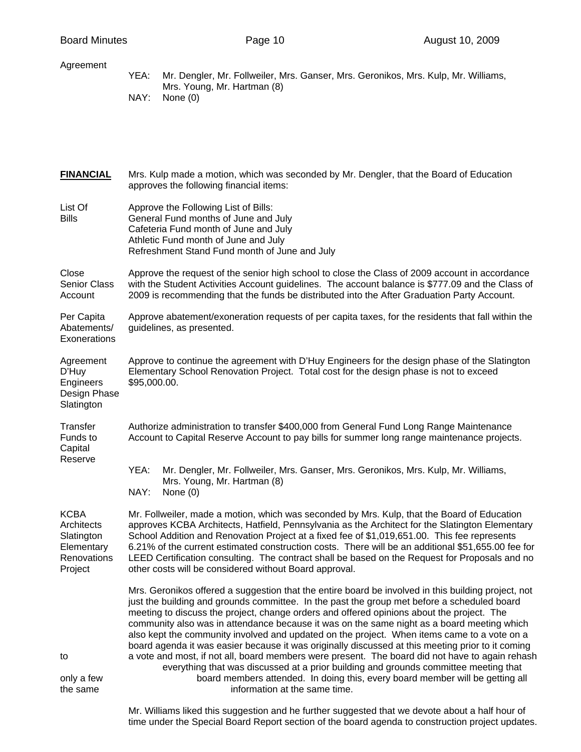| Agreement                                                                       | YEA:<br>Mr. Dengler, Mr. Follweiler, Mrs. Ganser, Mrs. Geronikos, Mrs. Kulp, Mr. Williams,<br>Mrs. Young, Mr. Hartman (8)<br>NAY:<br>None $(0)$                                                                                                                                                                                                                                                                                                                                                                                                                                                                                                                                                                                                                                                                                                                               |  |  |
|---------------------------------------------------------------------------------|-------------------------------------------------------------------------------------------------------------------------------------------------------------------------------------------------------------------------------------------------------------------------------------------------------------------------------------------------------------------------------------------------------------------------------------------------------------------------------------------------------------------------------------------------------------------------------------------------------------------------------------------------------------------------------------------------------------------------------------------------------------------------------------------------------------------------------------------------------------------------------|--|--|
| <b>FINANCIAL</b>                                                                | Mrs. Kulp made a motion, which was seconded by Mr. Dengler, that the Board of Education<br>approves the following financial items:                                                                                                                                                                                                                                                                                                                                                                                                                                                                                                                                                                                                                                                                                                                                            |  |  |
| List Of<br><b>Bills</b>                                                         | Approve the Following List of Bills:<br>General Fund months of June and July<br>Cafeteria Fund month of June and July<br>Athletic Fund month of June and July<br>Refreshment Stand Fund month of June and July                                                                                                                                                                                                                                                                                                                                                                                                                                                                                                                                                                                                                                                                |  |  |
| Close<br>Senior Class<br>Account                                                | Approve the request of the senior high school to close the Class of 2009 account in accordance<br>with the Student Activities Account guidelines. The account balance is \$777.09 and the Class of<br>2009 is recommending that the funds be distributed into the After Graduation Party Account.                                                                                                                                                                                                                                                                                                                                                                                                                                                                                                                                                                             |  |  |
| Per Capita<br>Abatements/<br>Exonerations                                       | Approve abatement/exoneration requests of per capita taxes, for the residents that fall within the<br>guidelines, as presented.                                                                                                                                                                                                                                                                                                                                                                                                                                                                                                                                                                                                                                                                                                                                               |  |  |
| Agreement<br>D'Huy<br>Engineers<br>Design Phase<br>Slatington                   | Approve to continue the agreement with D'Huy Engineers for the design phase of the Slatington<br>Elementary School Renovation Project. Total cost for the design phase is not to exceed<br>\$95,000.00.                                                                                                                                                                                                                                                                                                                                                                                                                                                                                                                                                                                                                                                                       |  |  |
| Transfer<br>Funds to<br>Capital                                                 | Authorize administration to transfer \$400,000 from General Fund Long Range Maintenance<br>Account to Capital Reserve Account to pay bills for summer long range maintenance projects.                                                                                                                                                                                                                                                                                                                                                                                                                                                                                                                                                                                                                                                                                        |  |  |
| Reserve                                                                         | YEA:<br>Mr. Dengler, Mr. Follweiler, Mrs. Ganser, Mrs. Geronikos, Mrs. Kulp, Mr. Williams,<br>Mrs. Young, Mr. Hartman (8)<br>NAY:<br>None $(0)$                                                                                                                                                                                                                                                                                                                                                                                                                                                                                                                                                                                                                                                                                                                               |  |  |
| <b>KCBA</b><br>Architects<br>Slatington<br>Elementary<br>Renovations<br>Project | Mr. Follweiler, made a motion, which was seconded by Mrs. Kulp, that the Board of Education<br>approves KCBA Architects, Hatfield, Pennsylvania as the Architect for the Slatington Elementary<br>School Addition and Renovation Project at a fixed fee of \$1,019,651.00. This fee represents<br>6.21% of the current estimated construction costs. There will be an additional \$51,655.00 fee for<br>LEED Certification consulting. The contract shall be based on the Request for Proposals and no<br>other costs will be considered without Board approval.                                                                                                                                                                                                                                                                                                              |  |  |
| to<br>only a few                                                                | Mrs. Geronikos offered a suggestion that the entire board be involved in this building project, not<br>just the building and grounds committee. In the past the group met before a scheduled board<br>meeting to discuss the project, change orders and offered opinions about the project. The<br>community also was in attendance because it was on the same night as a board meeting which<br>also kept the community involved and updated on the project. When items came to a vote on a<br>board agenda it was easier because it was originally discussed at this meeting prior to it coming<br>a vote and most, if not all, board members were present. The board did not have to again rehash<br>everything that was discussed at a prior building and grounds committee meeting that<br>board members attended. In doing this, every board member will be getting all |  |  |

the same information at the same time.

 Mr. Williams liked this suggestion and he further suggested that we devote about a half hour of time under the Special Board Report section of the board agenda to construction project updates.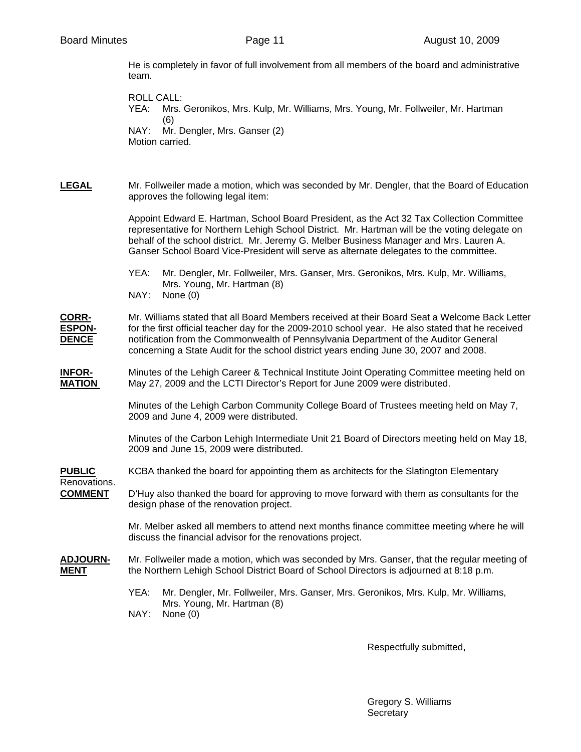He is completely in favor of full involvement from all members of the board and administrative team.

ROLL CALL: YEA: Mrs. Geronikos, Mrs. Kulp, Mr. Williams, Mrs. Young, Mr. Follweiler, Mr. Hartman (6) NAY: Mr. Dengler, Mrs. Ganser (2) Motion carried.

**LEGAL** Mr. Follweiler made a motion, which was seconded by Mr. Dengler, that the Board of Education approves the following legal item:

> Appoint Edward E. Hartman, School Board President, as the Act 32 Tax Collection Committee representative for Northern Lehigh School District. Mr. Hartman will be the voting delegate on behalf of the school district. Mr. Jeremy G. Melber Business Manager and Mrs. Lauren A. Ganser School Board Vice-President will serve as alternate delegates to the committee.

 YEA: Mr. Dengler, Mr. Follweiler, Mrs. Ganser, Mrs. Geronikos, Mrs. Kulp, Mr. Williams, Mrs. Young, Mr. Hartman (8) NAY: None (0)

**CORR-** Mr. Williams stated that all Board Members received at their Board Seat a Welcome Back Letter **ESPON-** for the first official teacher day for the 2009-2010 school year. He also stated that he received **DENCE** notification from the Commonwealth of Pennsylvania Department of the Auditor General concerning a State Audit for the school district years ending June 30, 2007 and 2008.

**INFOR-** Minutes of the Lehigh Career & Technical Institute Joint Operating Committee meeting held on **MATION** May 27, 2009 and the LCTI Director's Report for June 2009 were distributed.

> Minutes of the Lehigh Carbon Community College Board of Trustees meeting held on May 7, 2009 and June 4, 2009 were distributed.

 Minutes of the Carbon Lehigh Intermediate Unit 21 Board of Directors meeting held on May 18, 2009 and June 15, 2009 were distributed.

**PUBLIC** KCBA thanked the board for appointing them as architects for the Slatington Elementary

Renovations.

**COMMENT** D'Huy also thanked the board for approving to move forward with them as consultants for the design phase of the renovation project.

> Mr. Melber asked all members to attend next months finance committee meeting where he will discuss the financial advisor for the renovations project.

- **ADJOURN-** Mr. Follweiler made a motion, which was seconded by Mrs. Ganser, that the regular meeting of **MENT** the Northern Lehigh School District Board of School Directors is adjourned at 8:18 p.m.
	- YEA: Mr. Dengler, Mr. Follweiler, Mrs. Ganser, Mrs. Geronikos, Mrs. Kulp, Mr. Williams, Mrs. Young, Mr. Hartman (8) NAY: None (0)

Respectfully submitted,